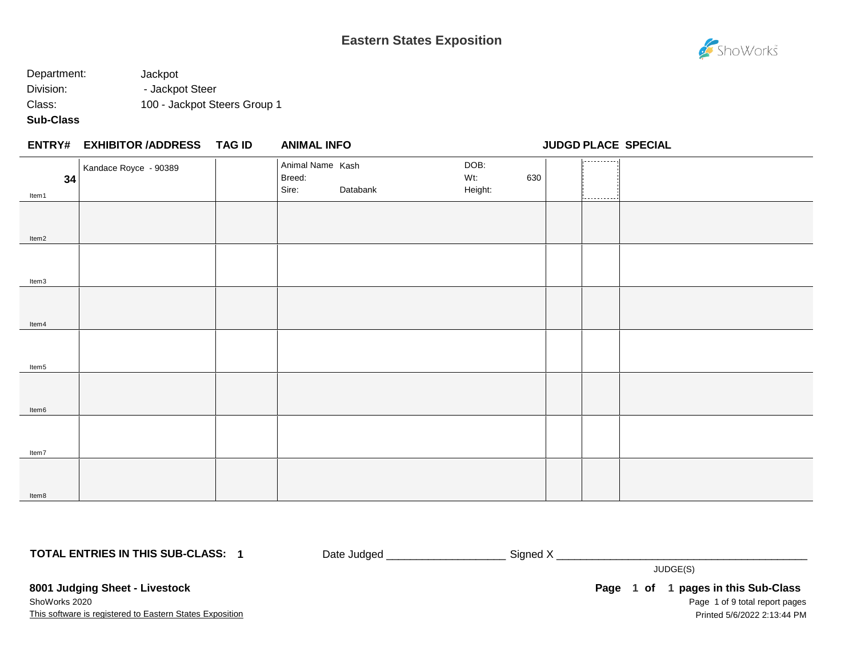

## Department: Jackpot Division: - Jackpot Steer Class: 100 - Jackpot Steers Group 1

## **Sub-Class**

|             | <b>ENTRY# EXHIBITOR /ADDRESS</b> | TAG ID | <b>ANIMAL INFO</b>                  |          |                        |     |                 | <b>JUDGD PLACE SPECIAL</b> |
|-------------|----------------------------------|--------|-------------------------------------|----------|------------------------|-----|-----------------|----------------------------|
| 34<br>Item1 | Kandace Royce - 90389            |        | Animal Name Kash<br>Breed:<br>Sire: | Databank | DOB:<br>Wt:<br>Height: | 630 | .<br>---------- |                            |
| Item2       |                                  |        |                                     |          |                        |     |                 |                            |
| Item3       |                                  |        |                                     |          |                        |     |                 |                            |
| Item4       |                                  |        |                                     |          |                        |     |                 |                            |
| Item5       |                                  |        |                                     |          |                        |     |                 |                            |
| Item6       |                                  |        |                                     |          |                        |     |                 |                            |
| Item7       |                                  |        |                                     |          |                        |     |                 |                            |
| Item8       |                                  |        |                                     |          |                        |     |                 |                            |

**TOTAL ENTRIES IN THIS SUB-CLASS: 1**

Date Judged \_\_\_\_\_\_\_\_\_\_\_\_\_\_\_\_\_\_\_\_\_\_\_\_\_\_\_\_ Signed X \_\_\_\_\_\_\_\_\_\_\_\_\_\_\_\_\_\_\_\_\_\_\_\_\_\_\_\_\_\_

JUDGE(S)

**8001 Judging Sheet - Livestock**

This software is registered to Eastern States Exposition ShoWorks 2020

Page 1 of 9 total report pages Page 1 of 1 pages in this Sub-Class Printed 5/6/2022 2:13:44 PM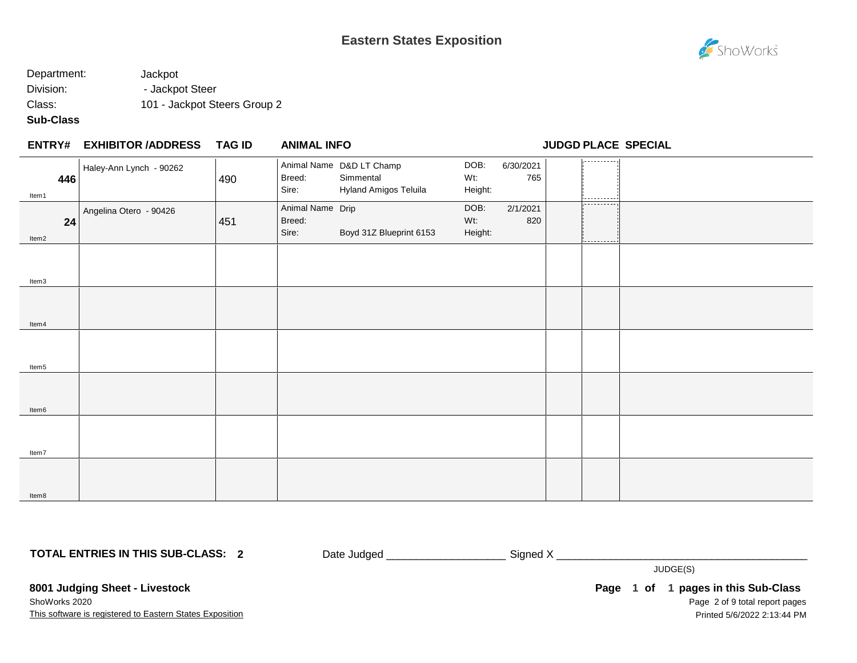

## Department: Jackpot Division: - Jackpot Steer Class: 101 - Jackpot Steers Group 2

#### **Sub-Class**

Item8

#### **EXHIBITOR /ADDRESS TAG ID ENTRY# ANIMAL INFO JUDGD PLACE SPECIAL** 1. . . . . . . . . . . . Animal Name D&D LT Champ DOB: 6/30/2021 Haley-Ann Lynch - 90262 Breed: Simmental Wt: 765 **446** 490 Sire: Hyland Amigos Teluila Height: Item1 Animal Name Drip DOB: 2/1/2021 Angelina Otero - 90426 Breed: Wt: 820 **24** 451 Sire: Boyd 31Z Blueprint 6153 Height: Item2 Item3 Item4 Item5 Item6 Item7

**TOTAL ENTRIES IN THIS SUB-CLASS: 2**

Date Judged \_\_\_\_\_\_\_\_\_\_\_\_\_\_\_\_\_\_\_\_\_\_\_\_\_\_\_\_\_\_Signed X \_\_\_\_\_\_\_\_\_\_\_\_\_\_\_\_\_\_\_\_\_\_\_\_\_\_\_\_\_

JUDGE(S)

**8001 Judging Sheet - Livestock**

This software is registered to Eastern States Exposition ShoWorks 2020

Page 2 of 9 total report pages **Page 1 of 1 pages in this Sub-Class** Printed 5/6/2022 2:13:44 PM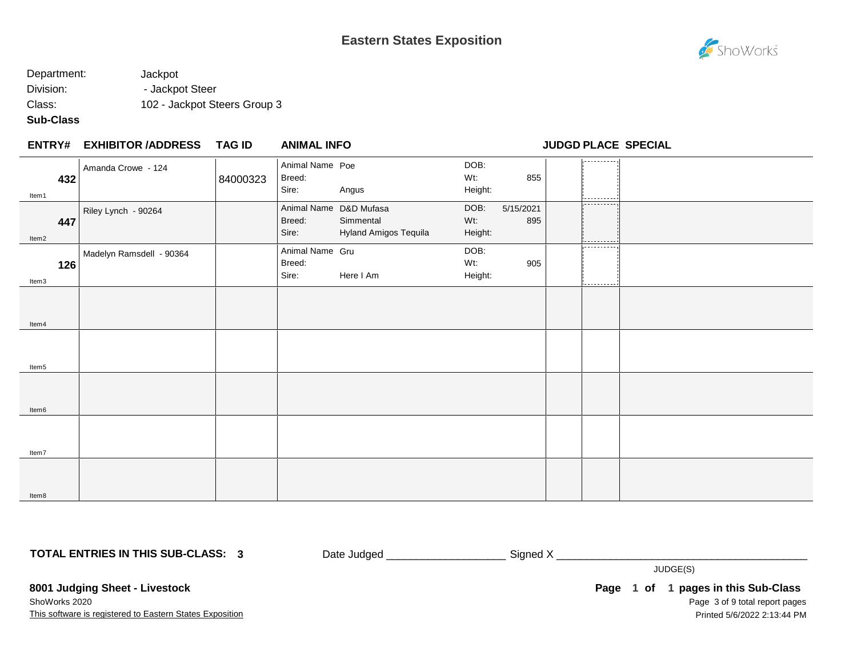# ShoWorks

## Department: Jackpot Division: - Jackpot Steer Class: 102 - Jackpot Steers Group 3

### **Sub-Class**

|                   | <b>ENTRY# EXHIBITOR /ADDRESS</b> | <b>TAG ID</b> | <b>ANIMAL INFO</b>                        |                                    |                        |                  |                        | <b>JUDGD PLACE SPECIAL</b> |
|-------------------|----------------------------------|---------------|-------------------------------------------|------------------------------------|------------------------|------------------|------------------------|----------------------------|
| 432<br>Item1      | Amanda Crowe - 124               | 84000323      | Animal Name Poe<br>Breed:<br>Sire:        | Angus                              | DOB:<br>Wt:<br>Height: | 855              | ----------<br>.        |                            |
| 447<br>Item2      | Riley Lynch - 90264              |               | Animal Name D&D Mufasa<br>Breed:<br>Sire: | Simmental<br>Hyland Amigos Tequila | DOB:<br>Wt:<br>Height: | 5/15/2021<br>895 | .<br>--------          |                            |
| 126<br>Item3      | Madelyn Ramsdell - 90364         |               | Animal Name Gru<br>Breed:<br>Sire:        | Here I Am                          | DOB:<br>Wt:<br>Height: | 905              | ----------<br>-------- |                            |
| Item4             |                                  |               |                                           |                                    |                        |                  |                        |                            |
| Item <sub>5</sub> |                                  |               |                                           |                                    |                        |                  |                        |                            |
| Item6             |                                  |               |                                           |                                    |                        |                  |                        |                            |
| Item7             |                                  |               |                                           |                                    |                        |                  |                        |                            |
| Item8             |                                  |               |                                           |                                    |                        |                  |                        |                            |

**TOTAL ENTRIES IN THIS SUB-CLASS: 3**

Date Judged \_\_\_\_\_\_\_\_\_\_\_\_\_\_\_\_\_\_\_\_\_\_\_\_\_\_\_\_\_ Signed X \_\_\_\_\_\_\_\_\_\_\_\_\_\_\_\_\_\_\_\_\_\_\_\_\_\_\_\_\_

JUDGE(S)

**8001 Judging Sheet - Livestock**

This software is registered to Eastern States Exposition ShoWorks 2020

Page 3 of 9 total report pages Page 1 of 1 pages in this Sub-Class Printed 5/6/2022 2:13:44 PM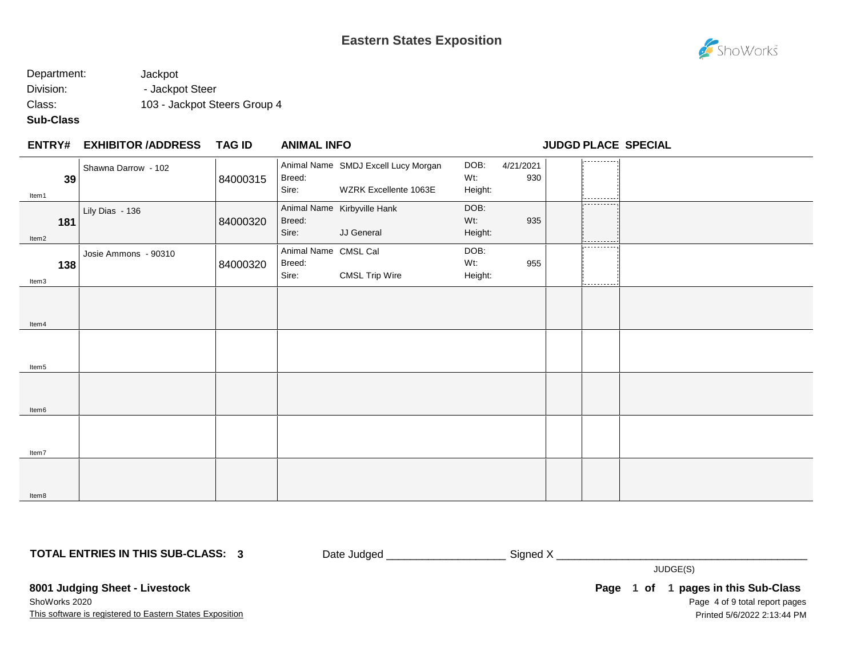# **Eastern States Exposition**

# ShoWorks

## Department: Jackpot Division: - Jackpot Steer Class: 103 - Jackpot Steers Group 4

### **Sub-Class**

#### **EXHIBITOR /ADDRESS TAG ID ENTRY# ANIMAL INFO JUDGD PLACE SPECIAL**

| 39                    | Shawna Darrow - 102  | 84000315 | Breed:<br>Sire:                         | Animal Name SMDJ Excell Lucy Morgan<br>WZRK Excellente 1063E | DOB:<br>Wt:<br>Height: | 4/21/2021<br>930 | او د د د د د د د دورا |  |
|-----------------------|----------------------|----------|-----------------------------------------|--------------------------------------------------------------|------------------------|------------------|-----------------------|--|
| Item1<br>181<br>Item2 | Lily Dias - 136      | 84000320 | Breed:<br>Sire:                         | Animal Name Kirbyville Hank<br>JJ General                    | DOB:<br>Wt:<br>Height: | 935              | .                     |  |
| 138<br>Item3          | Josie Ammons - 90310 | 84000320 | Animal Name CMSL Cal<br>Breed:<br>Sire: | <b>CMSL Trip Wire</b>                                        | DOB:<br>Wt:<br>Height: | 955              | ----------<br>.       |  |
|                       |                      |          |                                         |                                                              |                        |                  |                       |  |
| Item4                 |                      |          |                                         |                                                              |                        |                  |                       |  |
| Item5                 |                      |          |                                         |                                                              |                        |                  |                       |  |
| Item6                 |                      |          |                                         |                                                              |                        |                  |                       |  |
| Item7                 |                      |          |                                         |                                                              |                        |                  |                       |  |
| Item8                 |                      |          |                                         |                                                              |                        |                  |                       |  |

**TOTAL ENTRIES IN THIS SUB-CLASS: 3**

Date Judged \_\_\_\_\_\_\_\_\_\_\_\_\_\_\_\_\_\_\_\_\_\_\_\_\_\_\_\_ Signed X \_\_\_\_\_\_\_\_\_\_\_\_\_\_\_\_\_\_\_\_\_\_\_\_\_\_\_\_\_\_

JUDGE(S)

**8001 Judging Sheet - Livestock**

This software is registered to Eastern States Exposition ShoWorks 2020

Page 4 of 9 total report pages Page 1 of 1 pages in this Sub-Class Printed 5/6/2022 2:13:44 PM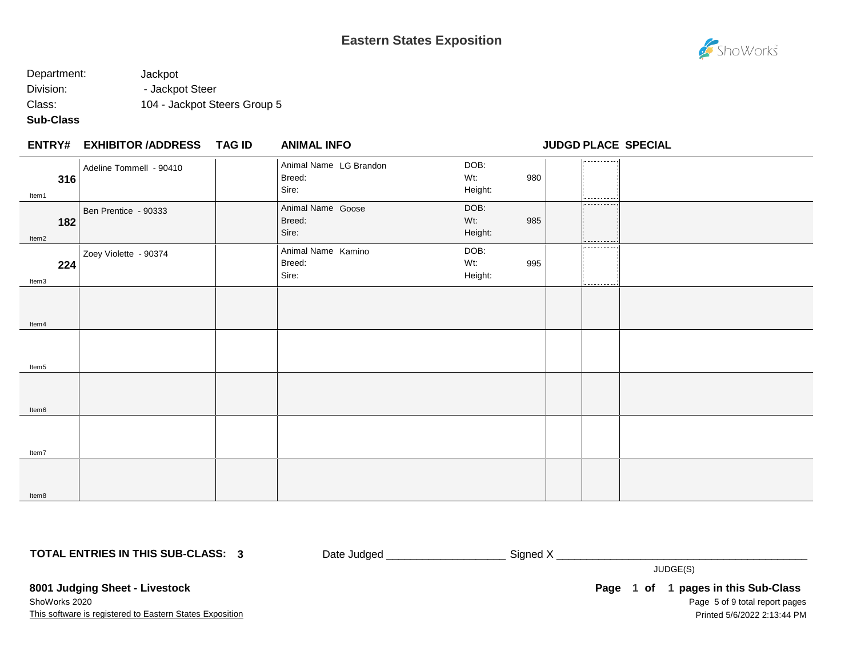# ShoWorks

## Department: Jackpot Division: - Jackpot Steer Class: 104 - Jackpot Steers Group 5

### **Sub-Class**

|              | <b>ENTRY# EXHIBITOR /ADDRESS</b> | TAG ID | <b>ANIMAL INFO</b>                        |                               | <b>JUDGD PLACE SPECIAL</b>      |  |
|--------------|----------------------------------|--------|-------------------------------------------|-------------------------------|---------------------------------|--|
| 316<br>Item1 | Adeline Tommell - 90410          |        | Animal Name LG Brandon<br>Breed:<br>Sire: | DOB:<br>Wt:<br>980<br>Height: | .<br>-----------                |  |
| 182<br>Item2 | Ben Prentice - 90333             |        | Animal Name Goose<br>Breed:<br>Sire:      | DOB:<br>Wt:<br>985<br>Height: | ----------<br>.                 |  |
| 224<br>Item3 | Zoey Violette - 90374            |        | Animal Name Kamino<br>Breed:<br>Sire:     | DOB:<br>Wt:<br>Height:        | ----------<br>995<br>---------- |  |
| Item4        |                                  |        |                                           |                               |                                 |  |
| Item5        |                                  |        |                                           |                               |                                 |  |
| Item6        |                                  |        |                                           |                               |                                 |  |
| Item7        |                                  |        |                                           |                               |                                 |  |
| Item8        |                                  |        |                                           |                               |                                 |  |

**TOTAL ENTRIES IN THIS SUB-CLASS: 3**

Date Judged \_\_\_\_\_\_\_\_\_\_\_\_\_\_\_\_\_\_\_\_\_\_\_\_\_\_\_ Signed X \_\_\_\_\_\_\_\_\_\_\_\_\_\_\_\_\_\_\_\_\_\_\_\_\_\_\_\_\_\_\_

JUDGE(S)

**8001 Judging Sheet - Livestock**

This software is registered to Eastern States Exposition ShoWorks 2020

Page 5 of 9 total report pages Page 1 of 1 pages in this Sub-Class Printed 5/6/2022 2:13:44 PM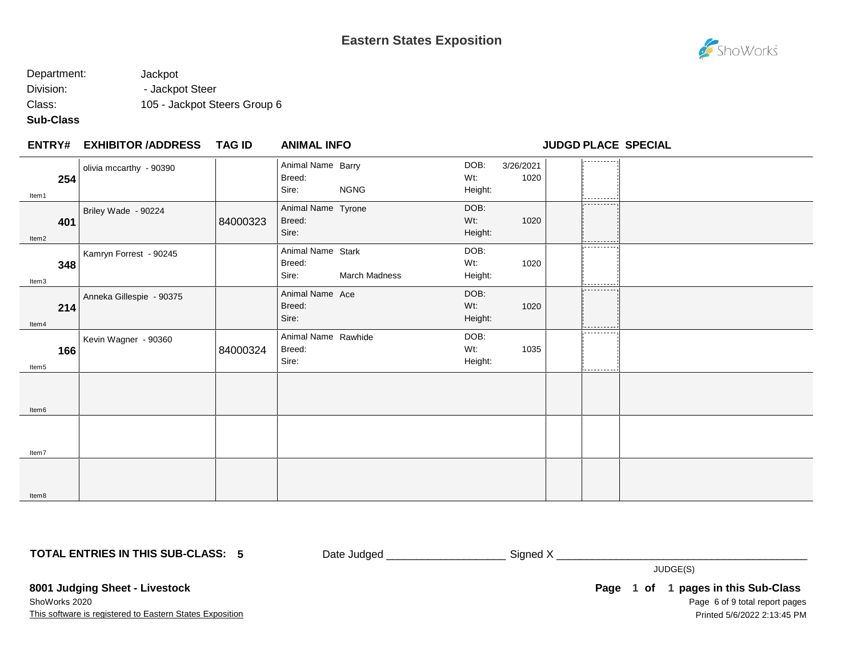

## Department: Jackpot Division: - Jackpot Steer Class: 105 - Jackpot Steers Group 6

### **Sub-Class**

| <b>ENTRY#</b>            | <b>EXHIBITOR /ADDRESS</b> | <b>TAG ID</b> | <b>ANIMAL INFO</b>                     |               |                           |                   | <b>JUDGD PLACE SPECIAL</b> |  |
|--------------------------|---------------------------|---------------|----------------------------------------|---------------|---------------------------|-------------------|----------------------------|--|
| 254<br>Item1             | olivia mccarthy - 90390   |               | Animal Name Barry<br>Breed:<br>Sire:   | <b>NGNG</b>   | DOB:<br>Wt:<br>Height:    | 3/26/2021<br>1020 | ----------<br>----------   |  |
| 401<br>Item2             | Briley Wade - 90224       | 84000323      | Animal Name Tyrone<br>Breed:<br>Sire:  |               | DOB:<br>$Wt$ :<br>Height: | 1020              | ----------                 |  |
| 348<br>Item3             | Kamryn Forrest - 90245    |               | Animal Name Stark<br>Breed:<br>Sire:   | March Madness | DOB:<br>Wt:<br>Height:    | 1020              | -----------                |  |
| 214<br>ltem4             | Anneka Gillespie - 90375  |               | Animal Name Ace<br>Breed:<br>Sire:     |               | DOB:<br>$Wt$ :<br>Height: | 1020              | -----------                |  |
| 166<br>Item <sub>5</sub> | Kevin Wagner - 90360      | 84000324      | Animal Name Rawhide<br>Breed:<br>Sire: |               | DOB:<br>Wt:<br>Height:    | 1035              | ----------                 |  |
| Item <sub>6</sub>        |                           |               |                                        |               |                           |                   |                            |  |
| Item7                    |                           |               |                                        |               |                           |                   |                            |  |
| Item8                    |                           |               |                                        |               |                           |                   |                            |  |

**TOTAL ENTRIES IN THIS SUB-CLASS: 5**

Date Judged \_\_\_\_\_\_\_\_\_\_\_\_\_\_\_\_\_\_\_\_\_\_\_\_\_\_\_\_ Signed X \_\_\_\_\_\_\_\_\_\_\_\_\_\_\_\_\_\_\_\_\_\_\_\_\_\_\_\_\_\_

JUDGE(S)

**8001 Judging Sheet - Livestock**

This software is registered to Eastern States Exposition ShoWorks 2020

Page 6 of 9 total report pages Page 1 of 1 pages in this Sub-Class Printed 5/6/2022 2:13:45 PM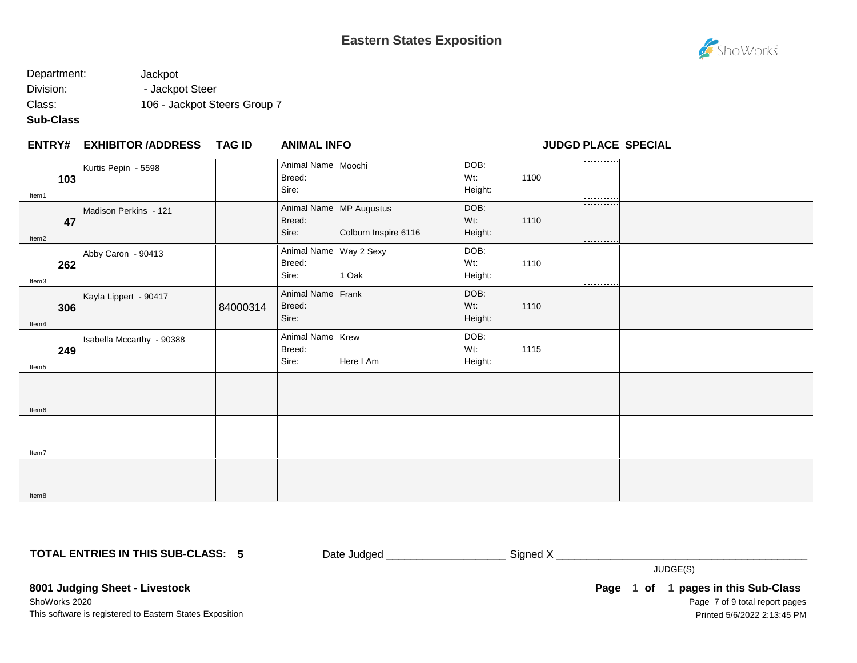# ShoWorks

## Department: Jackpot Division: - Jackpot Steer Class: 106 - Jackpot Steers Group 7

### **Sub-Class**

| <b>ENTRY#</b>            | <b>EXHIBITOR /ADDRESS</b> | <b>TAG ID</b> | <b>ANIMAL INFO</b>                        |                                                 |                           |      | <b>JUDGD PLACE SPECIAL</b> |  |
|--------------------------|---------------------------|---------------|-------------------------------------------|-------------------------------------------------|---------------------------|------|----------------------------|--|
| 103<br>Item1             | Kurtis Pepin - 5598       |               | Animal Name Moochi<br>Breed:<br>Sire:     |                                                 | DOB:<br>Wt.<br>Height:    | 1100 | -----------                |  |
| 47<br>Item2              | Madison Perkins - 121     |               | Breed:<br>Sire:                           | Animal Name MP Augustus<br>Colburn Inspire 6116 | DOB:<br>Wt.<br>Height:    | 1110 | ----------<br>.            |  |
| 262<br>Item3             | Abby Caron - 90413        |               | Animal Name Way 2 Sexy<br>Breed:<br>Sire: | 1 Oak                                           | DOB:<br>Wt.<br>Height:    | 1110 | ----------<br>---------    |  |
| 306<br>Item4             | Kayla Lippert - 90417     | 84000314      | Animal Name Frank<br>Breed:<br>Sire:      |                                                 | DOB:<br>$Wt$ :<br>Height: | 1110 | ----------<br>----------   |  |
| 249<br>Item <sub>5</sub> | Isabella Mccarthy - 90388 |               | Animal Name Krew<br>Breed:<br>Sire:       | Here I Am                                       | DOB:<br>Wt:<br>Height:    | 1115 | ----------<br>----------   |  |
| Item <sub>6</sub>        |                           |               |                                           |                                                 |                           |      |                            |  |
| Item7                    |                           |               |                                           |                                                 |                           |      |                            |  |
| Item8                    |                           |               |                                           |                                                 |                           |      |                            |  |

**TOTAL ENTRIES IN THIS SUB-CLASS: 5**

Date Judged \_\_\_\_\_\_\_\_\_\_\_\_\_\_\_\_\_\_\_\_\_\_\_\_\_\_\_\_ Signed X \_\_\_\_\_\_\_\_\_\_\_\_\_\_\_\_\_\_\_\_\_\_\_\_\_\_\_\_\_\_

JUDGE(S)

**8001 Judging Sheet - Livestock**

This software is registered to Eastern States Exposition ShoWorks 2020

Page 7 of 9 total report pages Page 1 of 1 pages in this Sub-Class Printed 5/6/2022 2:13:45 PM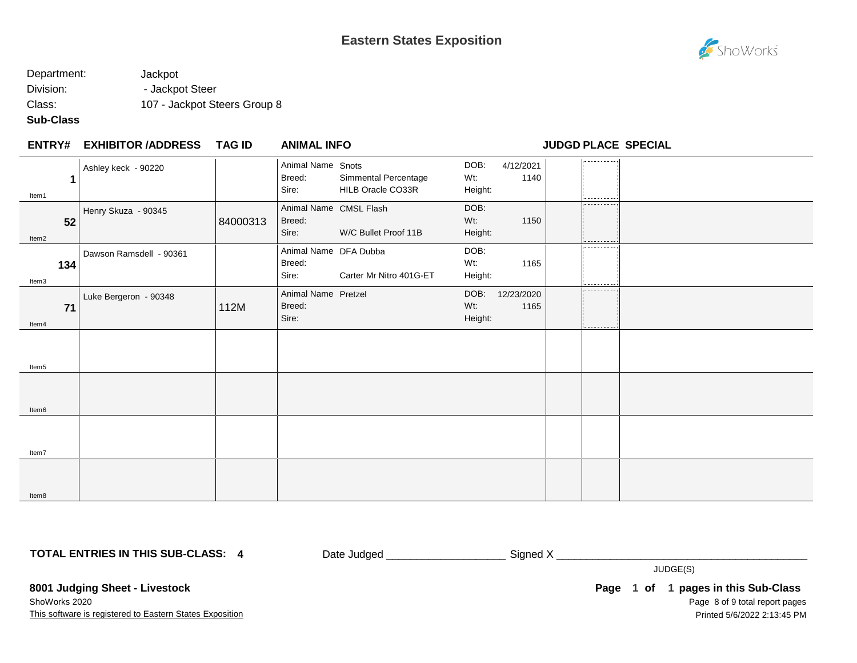

## Department: Jackpot Division: - Jackpot Steer Class: 107 - Jackpot Steers Group 8

## **Sub-Class**

| ENTRY# | <b>EXHIBITOR /ADDRESS</b> | <b>TAG ID</b> | <b>ANIMAL INFO</b> |  |
|--------|---------------------------|---------------|--------------------|--|
|        |                           |               |                    |  |

**ENTRY# ANIMAL INFO JUDGD PLACE SPECIAL**

| 1                 | Ashley keck - 90220     |          | Animal Name Snots<br>Breed:<br>Sire:      | Simmental Percentage<br>HILB Oracle CO33R | DOB:<br>Wt:<br>Height: | 4/12/2021<br>1140  | . <b>.</b> .                   |  |
|-------------------|-------------------------|----------|-------------------------------------------|-------------------------------------------|------------------------|--------------------|--------------------------------|--|
| Item1             |                         |          |                                           |                                           |                        |                    |                                |  |
| 52<br>Item2       | Henry Skuza - 90345     | 84000313 | Animal Name CMSL Flash<br>Breed:<br>Sire: | W/C Bullet Proof 11B                      | DOB:<br>Wt:<br>Height: | 1150               | ----------                     |  |
| 134<br>Item3      | Dawson Ramsdell - 90361 |          | Animal Name DFA Dubba<br>Breed:<br>Sire:  | Carter Mr Nitro 401G-ET                   | DOB:<br>Wt:<br>Height: | 1165               | ----------<br>-----------<br>. |  |
| 71<br>Item4       | Luke Bergeron - 90348   | 112M     | Animal Name Pretzel<br>Breed:<br>Sire:    |                                           | DOB:<br>Wt:<br>Height: | 12/23/2020<br>1165 | ---------<br>-----------       |  |
| Item <sub>5</sub> |                         |          |                                           |                                           |                        |                    |                                |  |
| Item6             |                         |          |                                           |                                           |                        |                    |                                |  |
| Item7             |                         |          |                                           |                                           |                        |                    |                                |  |
| Item8             |                         |          |                                           |                                           |                        |                    |                                |  |

**TOTAL ENTRIES IN THIS SUB-CLASS: 4**

Date Judged \_\_\_\_\_\_\_\_\_\_\_\_\_\_\_\_\_\_\_\_\_\_\_\_\_\_\_\_ Signed X \_\_\_\_\_\_\_\_\_\_\_\_\_\_\_\_\_\_\_\_\_\_\_\_\_\_\_\_\_\_

JUDGE(S)

**8001 Judging Sheet - Livestock**

This software is registered to Eastern States Exposition ShoWorks 2020

Page 8 of 9 total report pages Page 1 of 1 pages in this Sub-Class Printed 5/6/2022 2:13:45 PM